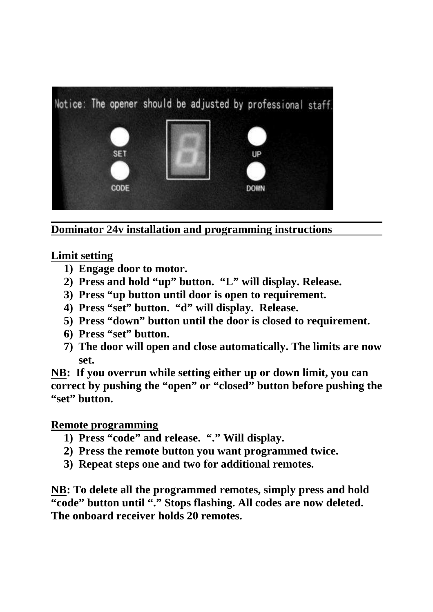

**Dominator 24v installation and programming instructions** 

## **Limit setting**

- **1) Engage door to motor.**
- **2) Press and hold "up" button. "L" will display. Release.**
- **3) Press "up button until door is open to requirement.**
- **4) Press "set" button. "d" will display. Release.**
- **5) Press "down" button until the door is closed to requirement.**
- **6) Press "set" button.**
- **7) The door will open and close automatically. The limits are now set.**

**NB: If you overrun while setting either up or down limit, you can correct by pushing the "open" or "closed" button before pushing the "set" button.** 

## **Remote programming**

- **1) Press "code" and release. "." Will display.**
- **2) Press the remote button you want programmed twice.**
- **3) Repeat steps one and two for additional remotes.**

**NB: To delete all the programmed remotes, simply press and hold "code" button until "." Stops flashing. All codes are now deleted. The onboard receiver holds 20 remotes.**